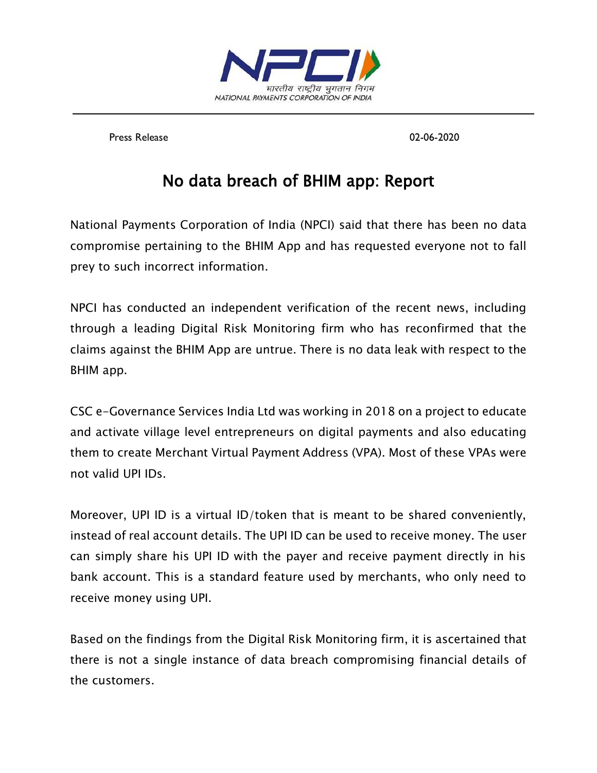

Press Release 02-06-2020

## No data breach of BHIM app: Report

National Payments Corporation of India (NPCI) said that there has been no data compromise pertaining to the BHIM App and has requested everyone not to fall prey to such incorrect information.

NPCI has conducted an independent verification of the recent news, including through a leading Digital Risk Monitoring firm who has reconfirmed that the claims against the BHIM App are untrue. There is no data leak with respect to the BHIM app.

CSC e-Governance Services India Ltd was working in 2018 on a project to educate and activate village level entrepreneurs on digital payments and also educating them to create Merchant Virtual Payment Address (VPA). Most of these VPAs were not valid UPI IDs.

Moreover, UPI ID is a virtual ID/token that is meant to be shared conveniently, instead of real account details. The UPI ID can be used to receive money. The user can simply share his UPI ID with the payer and receive payment directly in his bank account. This is a standard feature used by merchants, who only need to receive money using UPI.

Based on the findings from the Digital Risk Monitoring firm, it is ascertained that there is not a single instance of data breach compromising financial details of the customers.